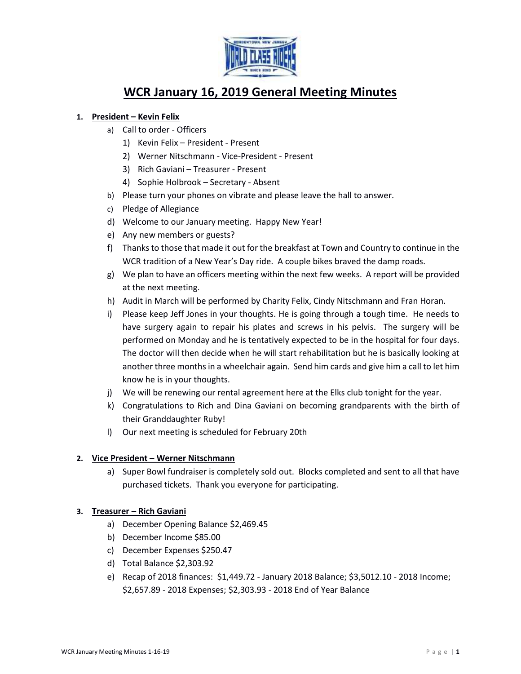

# **WCR January 16, 2019 General Meeting Minutes**

## **1. President – Kevin Felix**

- a) Call to order Officers
	- 1) Kevin Felix President Present
	- 2) Werner Nitschmann Vice-President Present
	- 3) Rich Gaviani Treasurer Present
	- 4) Sophie Holbrook Secretary Absent
- b) Please turn your phones on vibrate and please leave the hall to answer.
- c) Pledge of Allegiance
- d) Welcome to our January meeting. Happy New Year!
- e) Any new members or guests?
- f) Thanks to those that made it out for the breakfast at Town and Country to continue in the WCR tradition of a New Year's Day ride. A couple bikes braved the damp roads.
- g) We plan to have an officers meeting within the next few weeks. A report will be provided at the next meeting.
- h) Audit in March will be performed by Charity Felix, Cindy Nitschmann and Fran Horan.
- i) Please keep Jeff Jones in your thoughts. He is going through a tough time. He needs to have surgery again to repair his plates and screws in his pelvis. The surgery will be performed on Monday and he is tentatively expected to be in the hospital for four days. The doctor will then decide when he will start rehabilitation but he is basically looking at another three months in a wheelchair again. Send him cards and give him a call to let him know he is in your thoughts.
- j) We will be renewing our rental agreement here at the Elks club tonight for the year.
- k) Congratulations to Rich and Dina Gaviani on becoming grandparents with the birth of their Granddaughter Ruby!
- l) Our next meeting is scheduled for February 20th

#### **2. Vice President – Werner Nitschmann**

a) Super Bowl fundraiser is completely sold out. Blocks completed and sent to all that have purchased tickets. Thank you everyone for participating.

#### **3. Treasurer – Rich Gaviani**

- a) December Opening Balance \$2,469.45
- b) December Income \$85.00
- c) December Expenses \$250.47
- d) Total Balance \$2,303.92
- e) Recap of 2018 finances: \$1,449.72 January 2018 Balance; \$3,5012.10 2018 Income; \$2,657.89 - 2018 Expenses; \$2,303.93 - 2018 End of Year Balance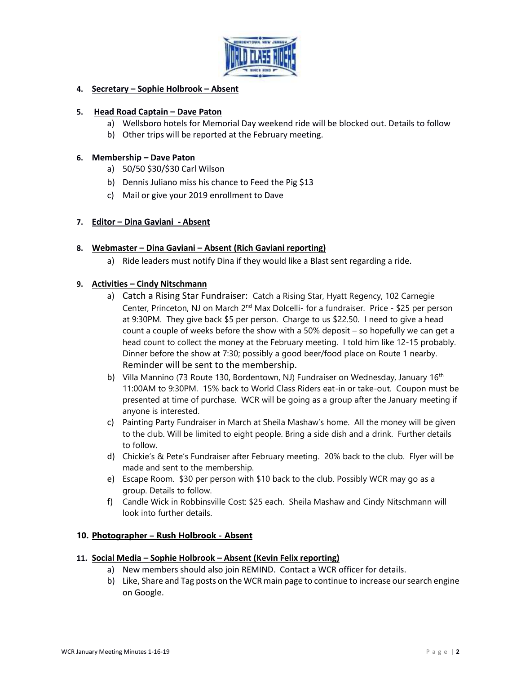

## **4. Secretary – Sophie Holbrook – Absent**

#### **5. Head Road Captain – Dave Paton**

- a) Wellsboro hotels for Memorial Day weekend ride will be blocked out. Details to follow
- b) Other trips will be reported at the February meeting.

#### **6. Membership – Dave Paton**

- a) 50/50 \$30/\$30 Carl Wilson
- b) Dennis Juliano miss his chance to Feed the Pig \$13
- c) Mail or give your 2019 enrollment to Dave

## **7. Editor – Dina Gaviani - Absent**

## **8. Webmaster – Dina Gaviani – Absent (Rich Gaviani reporting)**

a) Ride leaders must notify Dina if they would like a Blast sent regarding a ride.

#### **9. Activities – Cindy Nitschmann**

- a) Catch a Rising Star Fundraiser: Catch a Rising Star, Hyatt Regency, 102 Carnegie Center, Princeton, NJ on March 2<sup>nd</sup> Max Dolcelli- for a fundraiser. Price - \$25 per person at 9:30PM. They give back \$5 per person. Charge to us \$22.50. I need to give a head count a couple of weeks before the show with a 50% deposit – so hopefully we can get a head count to collect the money at the February meeting. I told him like 12-15 probably. Dinner before the show at 7:30; possibly a good beer/food place on Route 1 nearby. Reminder will be sent to the membership.
- b) Villa Mannino (73 Route 130, Bordentown, NJ) Fundraiser on Wednesday, January 16<sup>th</sup> 11:00AM to 9:30PM. 15% back to World Class Riders eat-in or take-out. Coupon must be presented at time of purchase. WCR will be going as a group after the January meeting if anyone is interested.
- c) Painting Party Fundraiser in March at Sheila Mashaw's home. All the money will be given to the club. Will be limited to eight people. Bring a side dish and a drink. Further details to follow.
- d) Chickie's & Pete's Fundraiser after February meeting. 20% back to the club. Flyer will be made and sent to the membership.
- e) Escape Room. \$30 per person with \$10 back to the club. Possibly WCR may go as a group. Details to follow.
- f) Candle Wick in Robbinsville Cost: \$25 each. Sheila Mashaw and Cindy Nitschmann will look into further details.

#### **10. Photographer – Rush Holbrook - Absent**

#### **11. Social Media – Sophie Holbrook – Absent (Kevin Felix reporting)**

- a) New members should also join REMIND. Contact a WCR officer for details.
- b) Like, Share and Tag posts on the WCR main page to continue to increase our search engine on Google.